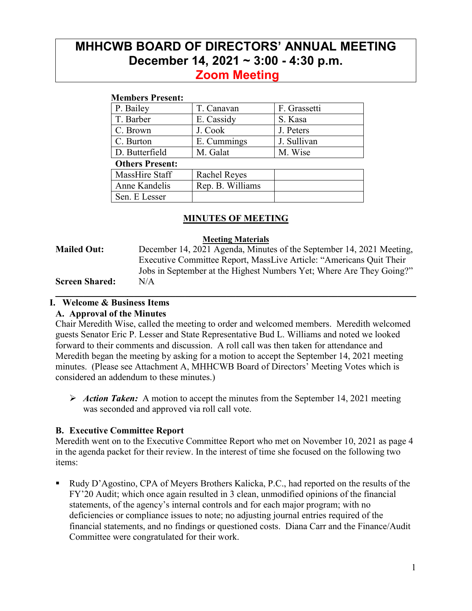# **MHHCWB BOARD OF DIRECTORS' ANNUAL MEETING December 14, 2021 ~ 3:00 - 4:30 p.m. Zoom Meeting**

#### **Members Present:**

| P. Bailey              | T. Canavan          | F. Grassetti |  |  |
|------------------------|---------------------|--------------|--|--|
| T. Barber              | E. Cassidy          | S. Kasa      |  |  |
| C. Brown               | J. Cook             | J. Peters    |  |  |
| C. Burton              | E. Cummings         | J. Sullivan  |  |  |
| D. Butterfield         | M. Galat            | M. Wise      |  |  |
| <b>Others Present:</b> |                     |              |  |  |
| MassHire Staff         | <b>Rachel Reyes</b> |              |  |  |
| Anne Kandelis          | Rep. B. Williams    |              |  |  |
| Sen. E Lesser          |                     |              |  |  |
|                        |                     |              |  |  |

### **MINUTES OF MEETING**

#### **Meeting Materials**

**Mailed Out:** December 14, 2021 Agenda, Minutes of the September 14, 2021 Meeting, Executive Committee Report, MassLive Article: "Americans Quit Their Jobs in September at the Highest Numbers Yet; Where Are They Going?" **Screen Shared:** N/A

\_\_\_\_\_\_\_\_\_\_\_\_\_\_\_\_\_\_\_\_\_\_\_\_\_\_\_\_\_\_\_\_\_\_\_\_\_\_\_\_\_\_\_\_\_\_\_\_\_\_\_\_\_\_\_\_\_\_\_\_\_\_\_\_\_\_\_\_\_\_\_\_\_\_\_\_\_\_

#### **I. Welcome & Business Items A. Approval of the Minutes**

Chair Meredith Wise, called the meeting to order and welcomed members. Meredith welcomed guests Senator Eric P. Lesser and State Representative Bud L. Williams and noted we looked forward to their comments and discussion. A roll call was then taken for attendance and Meredith began the meeting by asking for a motion to accept the September 14, 2021 meeting minutes. (Please see Attachment A, MHHCWB Board of Directors' Meeting Votes which is considered an addendum to these minutes.)

 *Action Taken:*A motion to accept the minutes from the September 14, 2021 meeting was seconded and approved via roll call vote.

#### **B. Executive Committee Report**

Meredith went on to the Executive Committee Report who met on November 10, 2021 as page 4 in the agenda packet for their review. In the interest of time she focused on the following two items:

 Rudy D'Agostino, CPA of Meyers Brothers Kalicka, P.C., had reported on the results of the FY'20 Audit; which once again resulted in 3 clean, unmodified opinions of the financial statements, of the agency's internal controls and for each major program; with no deficiencies or compliance issues to note; no adjusting journal entries required of the financial statements, and no findings or questioned costs. Diana Carr and the Finance/Audit Committee were congratulated for their work.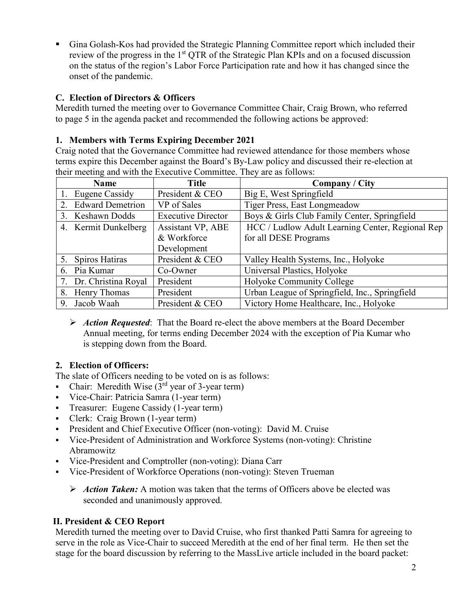Gina Golash-Kos had provided the Strategic Planning Committee report which included their review of the progress in the 1<sup>st</sup> QTR of the Strategic Plan KPIs and on a focused discussion on the status of the region's Labor Force Participation rate and how it has changed since the onset of the pandemic.

### **C. Election of Directors & Officers**

Meredith turned the meeting over to Governance Committee Chair, Craig Brown, who referred to page 5 in the agenda packet and recommended the following actions be approved:

### **1. Members with Terms Expiring December 2021**

Craig noted that the Governance Committee had reviewed attendance for those members whose terms expire this December against the Board's By-Law policy and discussed their re-election at their meeting and with the Executive Committee. They are as follows:

| <b>Name</b>            | <b>Title</b>              | <b>Company / City</b>                            |
|------------------------|---------------------------|--------------------------------------------------|
| 1. Eugene Cassidy      | President & CEO           | Big E, West Springfield                          |
| 2. Edward Demetrion    | VP of Sales               | Tiger Press, East Longmeadow                     |
| 3. Keshawn Dodds       | <b>Executive Director</b> | Boys & Girls Club Family Center, Springfield     |
| 4. Kermit Dunkelberg   | <b>Assistant VP, ABE</b>  | HCC / Ludlow Adult Learning Center, Regional Rep |
|                        | & Workforce               | for all DESE Programs                            |
|                        | Development               |                                                  |
| 5. Spiros Hatiras      | President & CEO           | Valley Health Systems, Inc., Holyoke             |
| 6. Pia Kumar           | Co-Owner                  | Universal Plastics, Holyoke                      |
| 7. Dr. Christina Royal | President                 | Holyoke Community College                        |
| 8. Henry Thomas        | President                 | Urban League of Springfield, Inc., Springfield   |
| 9. Jacob Waah          | President & CEO           | Victory Home Healthcare, Inc., Holyoke           |

 *Action Requested*: That the Board re-elect the above members at the Board December Annual meeting, for terms ending December 2024 with the exception of Pia Kumar who is stepping down from the Board.

## **2. Election of Officers:**

The slate of Officers needing to be voted on is as follows:

- Chair: Meredith Wise  $(3<sup>rd</sup>$  year of 3-year term)
- Vice-Chair: Patricia Samra (1-year term)
- **Treasurer:** Eugene Cassidy (1-year term)
- Clerk: Craig Brown (1-year term)
- President and Chief Executive Officer (non-voting): David M. Cruise
- Vice-President of Administration and Workforce Systems (non-voting): Christine Abramowitz
- Vice-President and Comptroller (non-voting): Diana Carr
- Vice-President of Workforce Operations (non-voting): Steven Trueman
	- Action Taken: A motion was taken that the terms of Officers above be elected was seconded and unanimously approved.

### **II. President & CEO Report**

Meredith turned the meeting over to David Cruise, who first thanked Patti Samra for agreeing to serve in the role as Vice-Chair to succeed Meredith at the end of her final term. He then set the stage for the board discussion by referring to the MassLive article included in the board packet: